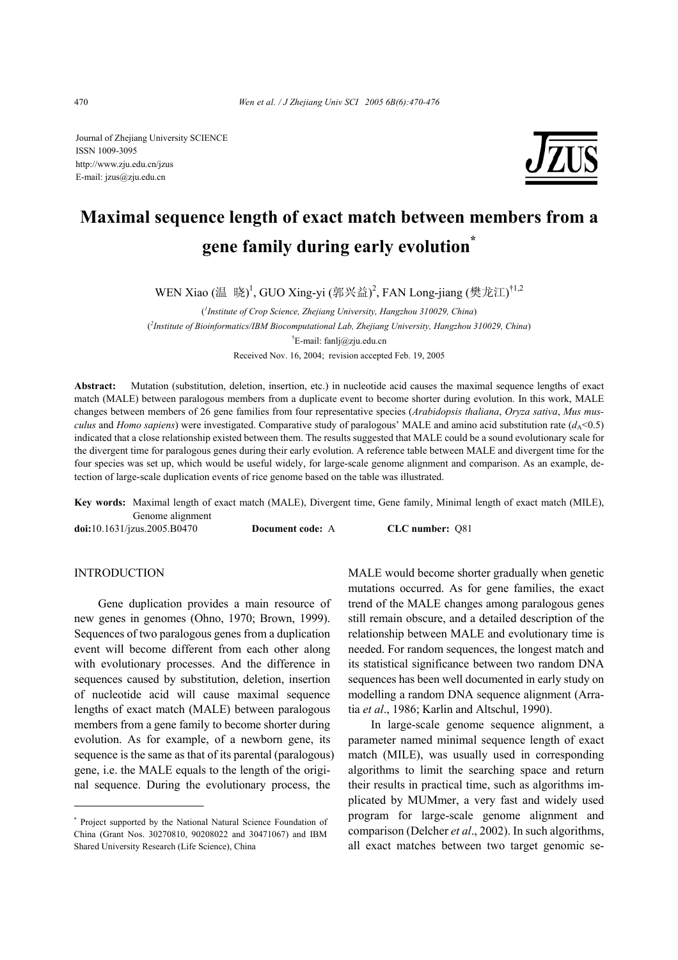Journal of Zhejiang University SCIENCE ISSN 1009-3095 http://www.zju.edu.cn/jzus E-mail: jzus@zju.edu.cn



# **Maximal sequence length of exact match between members from a gene family during early evolution\***

WEN Xiao (温 晓)<sup>1</sup>, GUO Xing-yi (郭兴益)<sup>2</sup>, FAN Long-jiang (樊龙江)<sup>†1,2</sup>

( *1 Institute of Crop Science, Zhejiang University, Hangzhou 310029, China*) ( *2 Institute of Bioinformatics/IBM Biocomputational Lab, Zhejiang University, Hangzhou 310029, China*) † E-mail: fanlj@zju.edu.cn Received Nov. 16, 2004; revision accepted Feb. 19, 2005

**Abstract:** Mutation (substitution, deletion, insertion, etc.) in nucleotide acid causes the maximal sequence lengths of exact match (MALE) between paralogous members from a duplicate event to become shorter during evolution. In this work, MALE changes between members of 26 gene families from four representative species (*Arabidopsis thaliana*, *Oryza sativa*, *Mus musculus* and *Homo sapiens*) were investigated. Comparative study of paralogous' MALE and amino acid substitution rate  $(d_A<0.5)$ indicated that a close relationship existed between them. The results suggested that MALE could be a sound evolutionary scale for the divergent time for paralogous genes during their early evolution. A reference table between MALE and divergent time for the four species was set up, which would be useful widely, for large-scale genome alignment and comparison. As an example, detection of large-scale duplication events of rice genome based on the table was illustrated.

**Key words:** Maximal length of exact match (MALE), Divergent time, Gene family, Minimal length of exact match (MILE), Genome alignment

**doi:**10.1631/jzus.2005.B0470 **Document code:** A **CLC number:** Q81

# INTRODUCTION

Gene duplication provides a main resource of new genes in genomes (Ohno, 1970; Brown, 1999). Sequences of two paralogous genes from a duplication event will become different from each other along with evolutionary processes. And the difference in sequences caused by substitution, deletion, insertion of nucleotide acid will cause maximal sequence lengths of exact match (MALE) between paralogous members from a gene family to become shorter during evolution. As for example, of a newborn gene, its sequence is the same as that of its parental (paralogous) gene, i.e. the MALE equals to the length of the original sequence. During the evolutionary process, the

MALE would become shorter gradually when genetic mutations occurred. As for gene families, the exact trend of the MALE changes among paralogous genes still remain obscure, and a detailed description of the relationship between MALE and evolutionary time is needed. For random sequences, the longest match and its statistical significance between two random DNA sequences has been well documented in early study on modelling a random DNA sequence alignment (Arratia *et al*., 1986; Karlin and Altschul, 1990).

In large-scale genome sequence alignment, a parameter named minimal sequence length of exact match (MILE), was usually used in corresponding algorithms to limit the searching space and return their results in practical time, such as algorithms implicated by MUMmer, a very fast and widely used program for large-scale genome alignment and comparison (Delcher *et al*., 2002). In such algorithms, all exact matches between two target genomic se-

<sup>\*</sup> Project supported by the National Natural Science Foundation of China (Grant Nos. 30270810, 90208022 and 30471067) and IBM Shared University Research (Life Science), China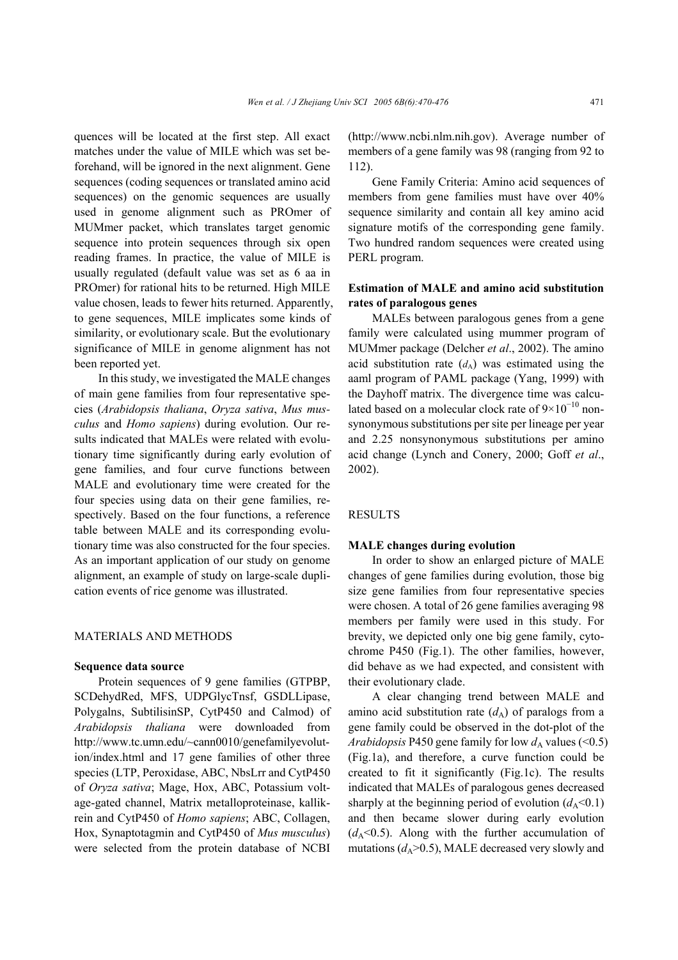quences will be located at the first step. All exact matches under the value of MILE which was set beforehand, will be ignored in the next alignment. Gene sequences (coding sequences or translated amino acid sequences) on the genomic sequences are usually used in genome alignment such as PROmer of MUMmer packet, which translates target genomic sequence into protein sequences through six open reading frames. In practice, the value of MILE is usually regulated (default value was set as 6 aa in PROmer) for rational hits to be returned. High MILE value chosen, leads to fewer hits returned. Apparently, to gene sequences, MILE implicates some kinds of similarity, or evolutionary scale. But the evolutionary significance of MILE in genome alignment has not been reported yet.

In this study, we investigated the MALE changes of main gene families from four representative species (*Arabidopsis thaliana*, *Oryza sativa*, *Mus musculus* and *Homo sapiens*) during evolution. Our results indicated that MALEs were related with evolutionary time significantly during early evolution of gene families, and four curve functions between MALE and evolutionary time were created for the four species using data on their gene families, respectively. Based on the four functions, a reference table between MALE and its corresponding evolutionary time was also constructed for the four species. As an important application of our study on genome alignment, an example of study on large-scale duplication events of rice genome was illustrated.

#### MATERIALS AND METHODS

## **Sequence data source**

Protein sequences of 9 gene families (GTPBP, SCDehydRed, MFS, UDPGlycTnsf, GSDLLipase, Polygalns, SubtilisinSP, CytP450 and Calmod) of *Arabidopsis thaliana* were downloaded from http://www.tc.umn.edu/~cann0010/genefamilyevolution/index.html and 17 gene families of other three species (LTP, Peroxidase, ABC, NbsLrr and CytP450 of *Oryza sativa*; Mage, Hox, ABC, Potassium voltage-gated channel, Matrix metalloproteinase, kallikrein and CytP450 of *Homo sapiens*; ABC, Collagen, Hox, Synaptotagmin and CytP450 of *Mus musculus*) were selected from the protein database of NCBI

(http://www.ncbi.nlm.nih.gov). Average number of members of a gene family was 98 (ranging from 92 to 112).

Gene Family Criteria: Amino acid sequences of members from gene families must have over 40% sequence similarity and contain all key amino acid signature motifs of the corresponding gene family. Two hundred random sequences were created using PERL program.

# **Estimation of MALE and amino acid substitution rates of paralogous genes**

MALEs between paralogous genes from a gene family were calculated using mummer program of MUMmer package (Delcher *et al*., 2002). The amino acid substitution rate  $(d_A)$  was estimated using the aaml program of PAML package (Yang, 1999) with the Dayhoff matrix. The divergence time was calculated based on a molecular clock rate of  $9\times10^{-10}$  nonsynonymous substitutions per site per lineage per year and 2.25 nonsynonymous substitutions per amino acid change (Lynch and Conery, 2000; Goff *et al*., 2002).

#### RESULTS

#### **MALE changes during evolution**

In order to show an enlarged picture of MALE changes of gene families during evolution, those big size gene families from four representative species were chosen. A total of 26 gene families averaging 98 members per family were used in this study. For brevity, we depicted only one big gene family, cytochrome P450 (Fig.1). The other families, however, did behave as we had expected, and consistent with their evolutionary clade.

A clear changing trend between MALE and amino acid substitution rate  $(d_A)$  of paralogs from a gene family could be observed in the dot-plot of the *Arabidopsis* P450 gene family for low  $d_A$  values (<0.5) (Fig.1a), and therefore, a curve function could be created to fit it significantly (Fig.1c). The results indicated that MALEs of paralogous genes decreased sharply at the beginning period of evolution  $(d_A<0.1)$ and then became slower during early evolution  $(d_A<0.5)$ . Along with the further accumulation of mutations  $(d_A>0.5)$ , MALE decreased very slowly and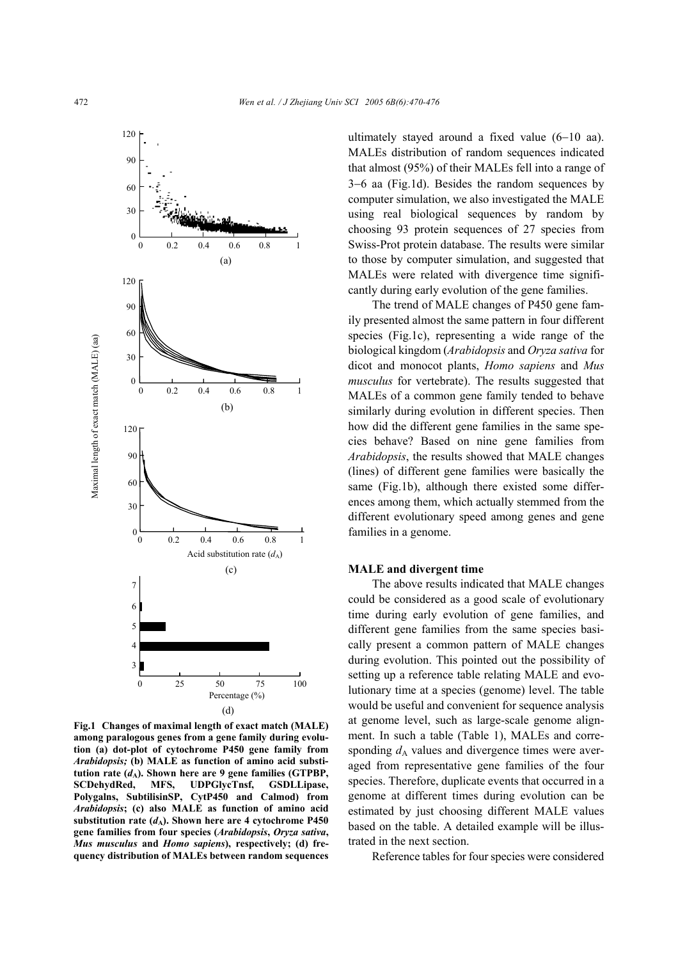

**Fig.1 Changes of maximal length of exact match (MALE) among paralogous genes from a gene family during evolution (a) dot-plot of cytochrome P450 gene family from** *Arabidopsis;* **(b) MALE as function of amino acid substitution rate**  $(d_A)$ **. Shown here are 9 gene families (GTPBP, SCDehydRed, MFS, UDPGlycTnsf, GSDLLipase, Polygalns, SubtilisinSP, CytP450 and Calmod) from** *Arabidopsis***; (c) also MALE as function of amino acid** substitution rate  $(d_A)$ . Shown here are 4 cytochrome P450 **gene families from four species (***Arabidopsis***,** *Oryza sativa***,**  *Mus musculus* **and** *Homo sapiens***), respectively; (d) frequency distribution of MALEs between random sequences**

ultimately stayed around a fixed value (6−10 aa). MALEs distribution of random sequences indicated that almost (95%) of their MALEs fell into a range of 3−6 aa (Fig.1d). Besides the random sequences by computer simulation, we also investigated the MALE using real biological sequences by random by choosing 93 protein sequences of 27 species from Swiss-Prot protein database. The results were similar to those by computer simulation, and suggested that MALEs were related with divergence time significantly during early evolution of the gene families.

The trend of MALE changes of P450 gene family presented almost the same pattern in four different species (Fig.1c), representing a wide range of the biological kingdom (*Arabidopsis* and *Oryza sativa* for dicot and monocot plants, *Homo sapiens* and *Mus musculus* for vertebrate). The results suggested that MALEs of a common gene family tended to behave similarly during evolution in different species. Then how did the different gene families in the same species behave? Based on nine gene families from *Arabidopsis*, the results showed that MALE changes (lines) of different gene families were basically the same (Fig.1b), although there existed some differences among them, which actually stemmed from the different evolutionary speed among genes and gene families in a genome.

#### **MALE and divergent time**

The above results indicated that MALE changes could be considered as a good scale of evolutionary time during early evolution of gene families, and different gene families from the same species basically present a common pattern of MALE changes during evolution. This pointed out the possibility of setting up a reference table relating MALE and evolutionary time at a species (genome) level. The table would be useful and convenient for sequence analysis at genome level, such as large-scale genome alignment. In such a table (Table 1), MALEs and corresponding  $d_A$  values and divergence times were averaged from representative gene families of the four species. Therefore, duplicate events that occurred in a genome at different times during evolution can be estimated by just choosing different MALE values based on the table. A detailed example will be illustrated in the next section.

Reference tables for four species were considered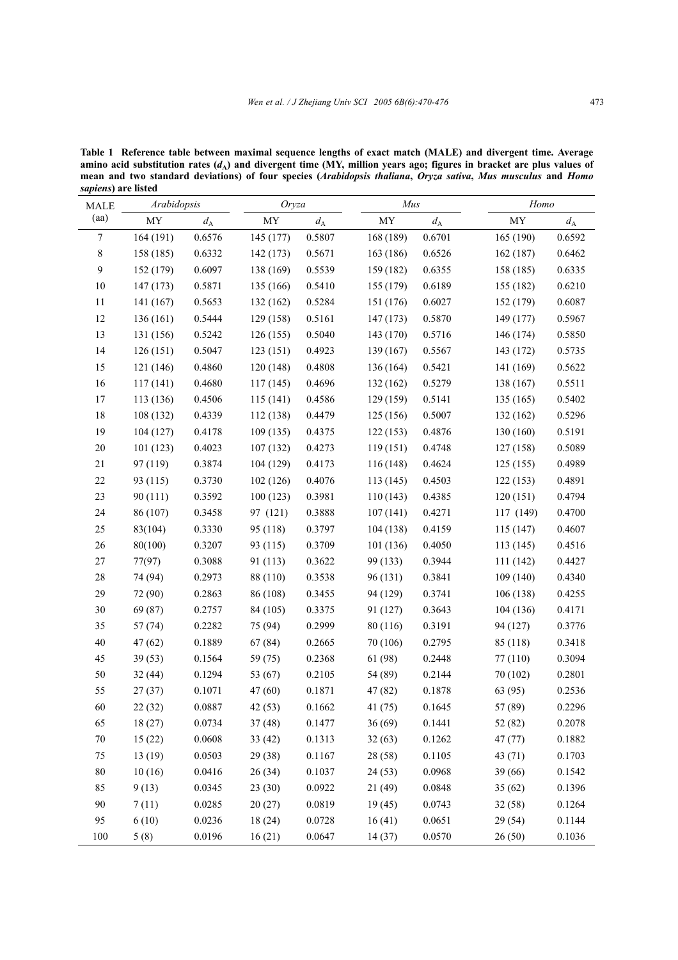**Table 1 Reference table between maximal sequence lengths of exact match (MALE) and divergent time. Average**  amino acid substitution rates ( $d_A$ ) and divergent time (MY, million years ago; figures in bracket are plus values of **mean and two standard deviations) of four species (***Arabidopsis thaliana***,** *Oryza sativa***,** *Mus musculus* **and** *Homo sapiens***) are listed** 

| <b>MALE</b>    | Arabidopsis              |             | Oryza                    |             | Mus                      |             |                          | Homo        |  |
|----------------|--------------------------|-------------|--------------------------|-------------|--------------------------|-------------|--------------------------|-------------|--|
| (aa)           | $\ensuremath{\text{MY}}$ | $d_{\rm A}$ | $\ensuremath{\text{MY}}$ | $d_{\rm A}$ | $\ensuremath{\text{MY}}$ | $d_{\rm A}$ | $\ensuremath{\text{MY}}$ | $d_{\rm A}$ |  |
| $\tau$         | 164 (191)                | 0.6576      | 145 (177)                | 0.5807      | 168 (189)                | 0.6701      | 165(190)                 | 0.6592      |  |
| 8              | 158 (185)                | 0.6332      | 142 (173)                | 0.5671      | 163(186)                 | 0.6526      | 162(187)                 | 0.6462      |  |
| $\mathfrak{g}$ | 152 (179)                | 0.6097      | 138 (169)                | 0.5539      | 159 (182)                | 0.6355      | 158 (185)                | 0.6335      |  |
| 10             | 147(173)                 | 0.5871      | 135 (166)                | 0.5410      | 155 (179)                | 0.6189      | 155 (182)                | 0.6210      |  |
| 11             | 141(167)                 | 0.5653      | 132 (162)                | 0.5284      | 151 (176)                | 0.6027      | 152 (179)                | 0.6087      |  |
| 12             | 136(161)                 | 0.5444      | 129 (158)                | 0.5161      | 147(173)                 | 0.5870      | 149 (177)                | 0.5967      |  |
| 13             | 131 (156)                | 0.5242      | 126(155)                 | 0.5040      | 143 (170)                | 0.5716      | 146 (174)                | 0.5850      |  |
| 14             | 126(151)                 | 0.5047      | 123(151)                 | 0.4923      | 139(167)                 | 0.5567      | 143 (172)                | 0.5735      |  |
| 15             | 121 (146)                | 0.4860      | 120 (148)                | 0.4808      | 136 (164)                | 0.5421      | 141(169)                 | 0.5622      |  |
| 16             | 117(141)                 | 0.4680      | 117(145)                 | 0.4696      | 132(162)                 | 0.5279      | 138(167)                 | 0.5511      |  |
| 17             | 113 (136)                | 0.4506      | 115(141)                 | 0.4586      | 129(159)                 | 0.5141      | 135(165)                 | 0.5402      |  |
| 18             | 108 (132)                | 0.4339      | 112 (138)                | 0.4479      | 125(156)                 | 0.5007      | 132 (162)                | 0.5296      |  |
| 19             | 104(127)                 | 0.4178      | 109(135)                 | 0.4375      | 122(153)                 | 0.4876      | 130(160)                 | 0.5191      |  |
| $20\,$         | 101(123)                 | 0.4023      | 107(132)                 | 0.4273      | 119(151)                 | 0.4748      | 127(158)                 | 0.5089      |  |
| 21             | 97 (119)                 | 0.3874      | 104 (129)                | 0.4173      | 116(148)                 | 0.4624      | 125(155)                 | 0.4989      |  |
| $22\,$         | 93 (115)                 | 0.3730      | 102(126)                 | 0.4076      | 113(145)                 | 0.4503      | 122(153)                 | 0.4891      |  |
| 23             | 90(111)                  | 0.3592      | 100(123)                 | 0.3981      | 110(143)                 | 0.4385      | 120(151)                 | 0.4794      |  |
| 24             | 86 (107)                 | 0.3458      | 97 (121)                 | 0.3888      | 107(141)                 | 0.4271      | 117 (149)                | 0.4700      |  |
| 25             | 83(104)                  | 0.3330      | 95 (118)                 | 0.3797      | 104(138)                 | 0.4159      | 115(147)                 | 0.4607      |  |
| 26             | 80(100)                  | 0.3207      | 93 (115)                 | 0.3709      | 101(136)                 | 0.4050      | 113(145)                 | 0.4516      |  |
| $27\,$         | 77(97)                   | 0.3088      | 91 (113)                 | 0.3622      | 99 (133)                 | 0.3944      | 111(142)                 | 0.4427      |  |
| $28\,$         | 74 (94)                  | 0.2973      | 88 (110)                 | 0.3538      | 96 (131)                 | 0.3841      | 109(140)                 | 0.4340      |  |
| 29             | 72 (90)                  | 0.2863      | 86 (108)                 | 0.3455      | 94 (129)                 | 0.3741      | 106(138)                 | 0.4255      |  |
| $30\,$         | 69 (87)                  | 0.2757      | 84 (105)                 | 0.3375      | 91 (127)                 | 0.3643      | 104(136)                 | 0.4171      |  |
| 35             | 57(74)                   | 0.2282      | 75 (94)                  | 0.2999      | 80 (116)                 | 0.3191      | 94 (127)                 | 0.3776      |  |
| 40             | 47(62)                   | 0.1889      | 67(84)                   | 0.2665      | 70 (106)                 | 0.2795      | 85 (118)                 | 0.3418      |  |
| 45             | 39(53)                   | 0.1564      | 59 (75)                  | 0.2368      | 61 (98)                  | 0.2448      | 77 (110)                 | 0.3094      |  |
| 50             | 32(44)                   | 0.1294      | 53 (67)                  | 0.2105      | 54 (89)                  | 0.2144      | 70 (102)                 | 0.2801      |  |
| 55             | 27(37)                   | 0.1071      | 47(60)                   | 0.1871      | 47 (82)                  | 0.1878      | 63 (95)                  | 0.2536      |  |
| 60             | 22(32)                   | 0.0887      | 42(53)                   | 0.1662      | 41(75)                   | 0.1645      | 57 (89)                  | 0.2296      |  |
| 65             | 18(27)                   | 0.0734      | 37(48)                   | 0.1477      | 36(69)                   | 0.1441      | 52(82)                   | 0.2078      |  |
| $70\,$         | 15(22)                   | 0.0608      | 33(42)                   | 0.1313      | 32(63)                   | 0.1262      | 47(77)                   | 0.1882      |  |
| 75             | 13(19)                   | 0.0503      | 29 (38)                  | 0.1167      | 28 (58)                  | 0.1105      | 43 (71)                  | 0.1703      |  |
| $80\,$         | 10(16)                   | 0.0416      | 26(34)                   | 0.1037      | 24(53)                   | 0.0968      | 39(66)                   | 0.1542      |  |
| 85             | 9(13)                    | 0.0345      | 23(30)                   | 0.0922      | 21(49)                   | 0.0848      | 35(62)                   | 0.1396      |  |
| 90             | 7(11)                    | 0.0285      | 20(27)                   | 0.0819      | 19(45)                   | 0.0743      | 32(58)                   | 0.1264      |  |
| 95             | 6(10)                    | 0.0236      | 18(24)                   | 0.0728      | 16(41)                   | 0.0651      | 29 (54)                  | 0.1144      |  |
| $100\,$        | 5(8)                     | 0.0196      | 16(21)                   | 0.0647      | 14(37)                   | 0.0570      | 26(50)                   | 0.1036      |  |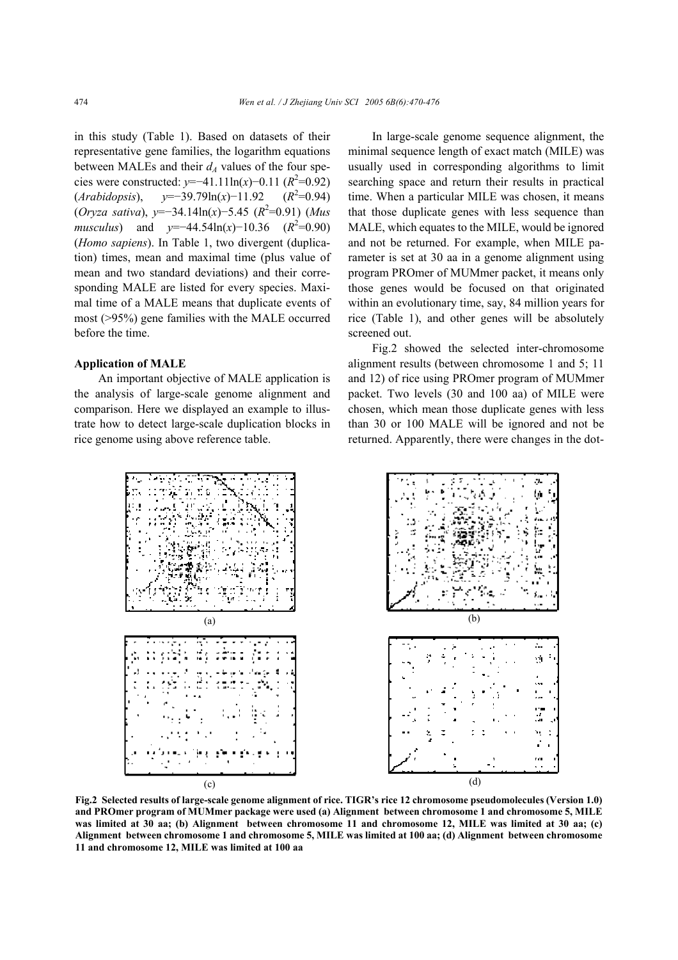in this study (Table 1). Based on datasets of their representative gene families, the logarithm equations between MALEs and their  $d_A$  values of the four species were constructed:  $y=-41.11\ln(x)-0.11$  ( $R^2=0.92$ ) (*Arabidopsis*),  $y=-39.79\ln(x)-11.92$  $(R^2=0.94)$ (*Oryza sativa*), *y*=−34.14ln(*x*)−5.45 ( $R^2$ =0.91) (*Mus musculus*) and  $y=-44.54\ln(x)-10.36$   $(R^2=0.90)$ (*Homo sapiens*). In Table 1, two divergent (duplication) times, mean and maximal time (plus value of mean and two standard deviations) and their corresponding MALE are listed for every species. Maximal time of a MALE means that duplicate events of most (>95%) gene families with the MALE occurred before the time.

#### **Application of MALE**

An important objective of MALE application is the analysis of large-scale genome alignment and comparison. Here we displayed an example to illustrate how to detect large-scale duplication blocks in rice genome using above reference table.

In large-scale genome sequence alignment, the minimal sequence length of exact match (MILE) was usually used in corresponding algorithms to limit searching space and return their results in practical time. When a particular MILE was chosen, it means that those duplicate genes with less sequence than MALE, which equates to the MILE, would be ignored and not be returned. For example, when MILE parameter is set at 30 aa in a genome alignment using program PROmer of MUMmer packet, it means only those genes would be focused on that originated within an evolutionary time, say, 84 million years for rice (Table 1), and other genes will be absolutely screened out.

Fig.2 showed the selected inter-chromosome alignment results (between chromosome 1 and 5; 11 and 12) of rice using PROmer program of MUMmer packet. Two levels (30 and 100 aa) of MILE were chosen, which mean those duplicate genes with less than 30 or 100 MALE will be ignored and not be returned. Apparently, there were changes in the dot-



**Fig.2 Selected results of large-scale genome alignment of rice. TIGR's rice 12 chromosome pseudomolecules (Version 1.0) and PROmer program of MUMmer package were used (a) Alignment between chromosome 1 and chromosome 5, MILE was limited at 30 aa; (b) Alignment between chromosome 11 and chromosome 12, MILE was limited at 30 aa; (c) Alignment between chromosome 1 and chromosome 5, MILE was limited at 100 aa; (d) Alignment between chromosome 11 and chromosome 12, MILE was limited at 100 aa**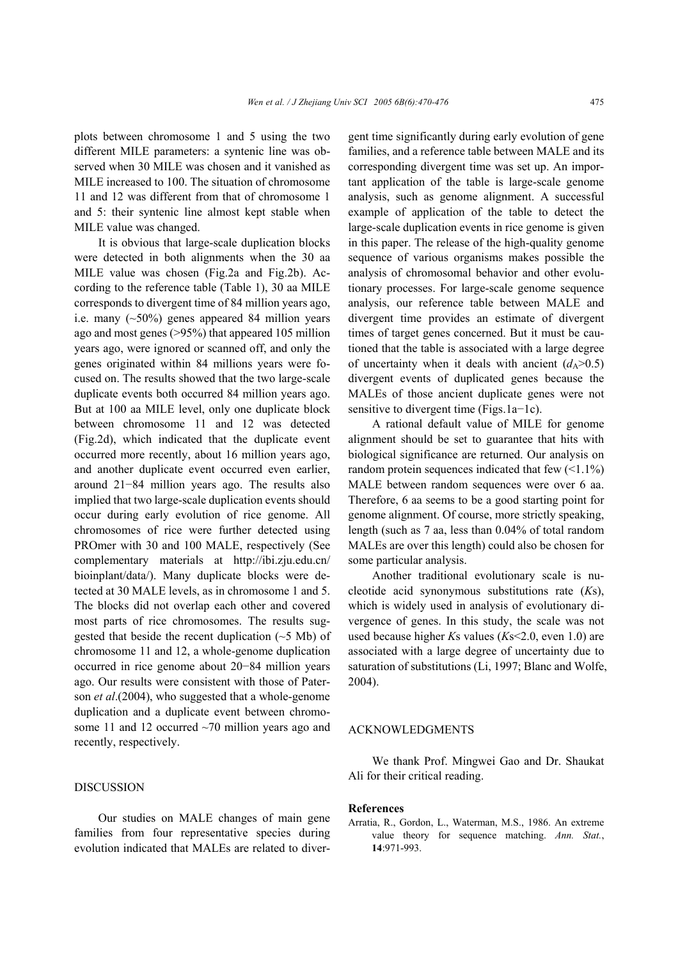plots between chromosome 1 and 5 using the two different MILE parameters: a syntenic line was observed when 30 MILE was chosen and it vanished as MILE increased to 100. The situation of chromosome 11 and 12 was different from that of chromosome 1 and 5: their syntenic line almost kept stable when MILE value was changed.

It is obvious that large-scale duplication blocks were detected in both alignments when the 30 aa MILE value was chosen (Fig.2a and Fig.2b). According to the reference table (Table 1), 30 aa MILE corresponds to divergent time of 84 million years ago, i.e. many (~50%) genes appeared 84 million years ago and most genes (>95%) that appeared 105 million years ago, were ignored or scanned off, and only the genes originated within 84 millions years were focused on. The results showed that the two large-scale duplicate events both occurred 84 million years ago. But at 100 aa MILE level, only one duplicate block between chromosome 11 and 12 was detected (Fig.2d), which indicated that the duplicate event occurred more recently, about 16 million years ago, and another duplicate event occurred even earlier, around 21−84 million years ago. The results also implied that two large-scale duplication events should occur during early evolution of rice genome. All chromosomes of rice were further detected using PROmer with 30 and 100 MALE, respectively (See complementary materials at http://ibi.zju.edu.cn/ bioinplant/data/). Many duplicate blocks were detected at 30 MALE levels, as in chromosome 1 and 5. The blocks did not overlap each other and covered most parts of rice chromosomes. The results suggested that beside the recent duplication  $(\sim 5 \text{ Mb})$  of chromosome 11 and 12, a whole-genome duplication occurred in rice genome about 20−84 million years ago. Our results were consistent with those of Paterson *et al*.(2004), who suggested that a whole-genome duplication and a duplicate event between chromosome 11 and 12 occurred  $\sim$ 70 million years ago and recently, respectively.

# DISCUSSION

Our studies on MALE changes of main gene families from four representative species during evolution indicated that MALEs are related to divergent time significantly during early evolution of gene families, and a reference table between MALE and its corresponding divergent time was set up. An important application of the table is large-scale genome analysis, such as genome alignment. A successful example of application of the table to detect the large-scale duplication events in rice genome is given in this paper. The release of the high-quality genome sequence of various organisms makes possible the analysis of chromosomal behavior and other evolutionary processes. For large-scale genome sequence analysis, our reference table between MALE and divergent time provides an estimate of divergent times of target genes concerned. But it must be cautioned that the table is associated with a large degree of uncertainty when it deals with ancient  $(d_A>0.5)$ divergent events of duplicated genes because the MALEs of those ancient duplicate genes were not sensitive to divergent time (Figs.1a−1c).

A rational default value of MILE for genome alignment should be set to guarantee that hits with biological significance are returned. Our analysis on random protein sequences indicated that few  $(\leq 1.1\%)$ MALE between random sequences were over 6 aa. Therefore, 6 aa seems to be a good starting point for genome alignment. Of course, more strictly speaking, length (such as 7 aa, less than 0.04% of total random MALEs are over this length) could also be chosen for some particular analysis.

Another traditional evolutionary scale is nucleotide acid synonymous substitutions rate (*K*s), which is widely used in analysis of evolutionary divergence of genes. In this study, the scale was not used because higher *K*s values (*K*s<2.0, even 1.0) are associated with a large degree of uncertainty due to saturation of substitutions (Li, 1997; Blanc and Wolfe, 2004).

## ACKNOWLEDGMENTS

We thank Prof. Mingwei Gao and Dr. Shaukat Ali for their critical reading.

#### **References**

Arratia, R., Gordon, L., Waterman, M.S., 1986. An extreme value theory for sequence matching. *Ann. Stat.*, **14**:971-993.